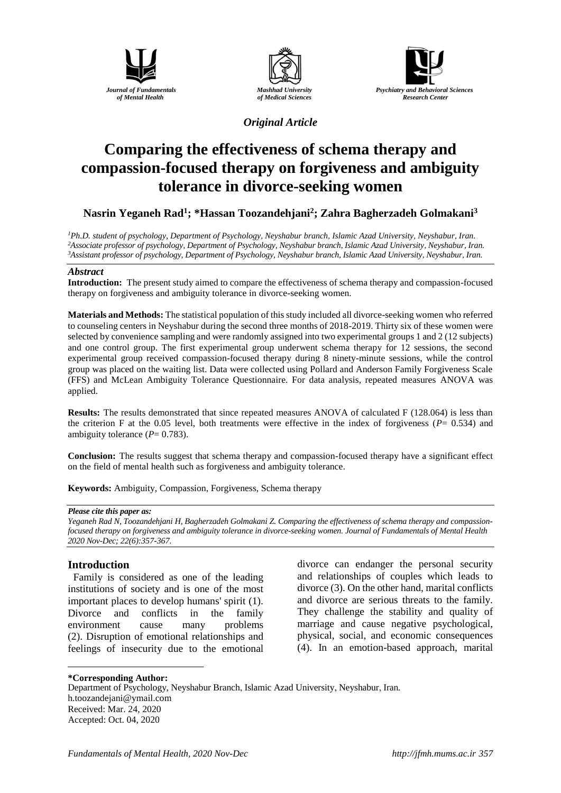





*Original Article*

# **Comparing the effectiveness of schema therapy and compassion-focused therapy on forgiveness and ambiguity tolerance in divorce-seeking women**

## **Nasrin Yeganeh Rad<sup>1</sup> ; \*Hassan Toozandehjani<sup>2</sup> ; Zahra Bagherzadeh Golmakani<sup>3</sup>**

*<sup>1</sup>Ph.D. student of psychology, Department of Psychology*, *Neyshabur branch*, *Islamic Azad University*, *Neyshabur*, *Iran. <sup>2</sup>Associate professor of psychology, Department of Psychology, Neyshabur branch*, *Islamic Azad University*, *Neyshabur*, *Iran. <sup>3</sup>Assistant professor of psychology, Department of Psychology, Neyshabur branch*, *Islamic Azad University*, *Neyshabur*, *Iran.*

#### *Abstract*

**Introduction:** The present study aimed to compare the effectiveness of schema therapy and compassion-focused therapy on forgiveness and ambiguity tolerance in divorce-seeking women.

**Materials and Methods:** The statistical population of this study included all divorce-seeking women who referred to counseling centers in Neyshabur during the second three months of 2018-2019. Thirty six of these women were selected by convenience sampling and were randomly assigned into two experimental groups 1 and 2 (12 subjects) and one control group. The first experimental group underwent schema therapy for 12 sessions, the second experimental group received compassion-focused therapy during 8 ninety-minute sessions, while the control group was placed on the waiting list. Data were collected using Pollard and Anderson Family Forgiveness Scale (FFS) and McLean Ambiguity Tolerance Questionnaire. For data analysis, repeated measures ANOVA was applied.

**Results:** The results demonstrated that since repeated measures ANOVA of calculated F (128.064) is less than the criterion F at the 0.05 level, both treatments were effective in the index of forgiveness (*P*= 0.534) and ambiguity tolerance  $(P= 0.783)$ .

**Conclusion:** The results suggest that schema therapy and compassion-focused therapy have a significant effect on the field of mental health such as forgiveness and ambiguity tolerance.

**Keywords:** Ambiguity, Compassion, Forgiveness, Schema therapy

#### *Please cite this paper as:*

*Yeganeh Rad N, Toozandehjani H, Bagherzadeh Golmakani Z. Comparing the effectiveness of schema therapy and compassionfocused therapy on forgiveness and ambiguity tolerance in divorce-seeking women. Journal of Fundamentals of Mental Health 2020 Nov-Dec; 22(6):357-367.*

## **Introduction**

1

Family is considered as one of the leading institutions of society and is one of the most important places to develop humans' spirit (1). Divorce and conflicts in the family environment cause many problems (2). Disruption of emotional relationships and feelings of insecurity due to the emotional

divorce can endanger the personal security and relationships of couples which leads to divorce (3). On the other hand, marital conflicts and divorce are serious threats to the family. They challenge the stability and quality of marriage and cause negative psychological, physical, social, and economic consequences (4). In an emotion-based approach, marital

#### **\*Corresponding Author:**

Department of Psychology, Neyshabur Branch, Islamic Azad University, Neyshabur, Iran. [h.toozandejani@ymail.com](mailto:h.toozandejani@ymail.com) Received: Mar. 24, 2020 Accepted: Oct. 04, 2020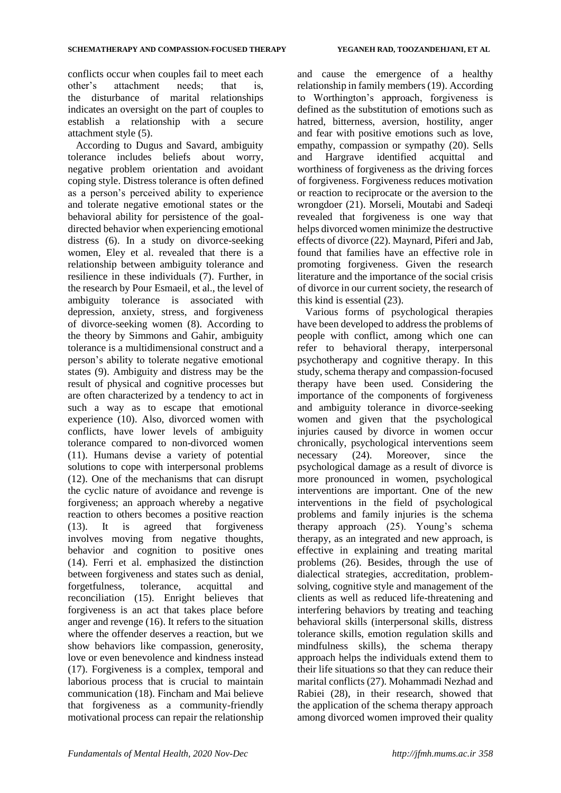conflicts occur when couples fail to meet each other's attachment needs; that is, the disturbance of marital relationships indicates an oversight on the part of couples to establish a relationship with a secure attachment style (5).

According to Dugus and Savard, ambiguity tolerance includes beliefs about worry, negative problem orientation and avoidant coping style. Distress tolerance is often defined as a person's perceived ability to experience and tolerate negative emotional states or the behavioral ability for persistence of the goaldirected behavior when experiencing emotional distress (6). In a study on divorce-seeking women, Eley et al. revealed that there is a relationship between ambiguity tolerance and resilience in these individuals (7). Further, in the research by Pour Esmaeil, et al., the level of ambiguity tolerance is associated with depression, anxiety, stress, and forgiveness of divorce-seeking women (8). According to the theory by Simmons and Gahir, ambiguity tolerance is a multidimensional construct and a person's ability to tolerate negative emotional states (9). Ambiguity and distress may be the result of physical and cognitive processes but are often characterized by a tendency to act in such a way as to escape that emotional experience (10). Also, divorced women with conflicts, have lower levels of ambiguity tolerance compared to non-divorced women (11). Humans devise a variety of potential solutions to cope with interpersonal problems (12). One of the mechanisms that can disrupt the cyclic nature of avoidance and revenge is forgiveness; an approach whereby a negative reaction to others becomes a positive reaction (13). It is agreed that forgiveness involves moving from negative thoughts, behavior and cognition to positive ones (14). Ferri et al. emphasized the distinction between forgiveness and states such as denial, forgetfulness, tolerance, acquittal and reconciliation (15). Enright believes that forgiveness is an act that takes place before anger and revenge (16). It refers to the situation where the offender deserves a reaction, but we show behaviors like compassion, generosity, love or even benevolence and kindness instead (17). Forgiveness is a complex, temporal and laborious process that is crucial to maintain communication (18). Fincham and Mai believe that forgiveness as a community-friendly motivational process can repair the relationship and cause the emergence of a healthy relationship in family members(19). According to Worthington's approach, forgiveness is defined as the substitution of emotions such as hatred, bitterness, aversion, hostility, anger and fear with positive emotions such as love, empathy, compassion or sympathy (20). Sells and Hargrave identified acquittal and worthiness of forgiveness as the driving forces of forgiveness. Forgiveness reduces motivation or reaction to reciprocate or the aversion to the wrongdoer (21). Morseli, Moutabi and Sadeqi revealed that forgiveness is one way that helps divorced women minimize the destructive effects of divorce (22). Maynard, Piferi and Jab, found that families have an effective role in promoting forgiveness. Given the research literature and the importance of the social crisis of divorce in our current society, the research of this kind is essential (23).

Various forms of psychological therapies have been developed to address the problems of people with conflict, among which one can refer to behavioral therapy, interpersonal psychotherapy and cognitive therapy. In this study, schema therapy and compassion-focused therapy have been used. Considering the importance of the components of forgiveness and ambiguity tolerance in divorce-seeking women and given that the psychological injuries caused by divorce in women occur chronically, psychological interventions seem necessary (24). Moreover, since the psychological damage as a result of divorce is more pronounced in women, psychological interventions are important. One of the new interventions in the field of psychological problems and family injuries is the schema therapy approach (25). Young's schema therapy, as an integrated and new approach, is effective in explaining and treating marital problems (26). Besides, through the use of dialectical strategies, accreditation, problemsolving, cognitive style and management of the clients as well as reduced life-threatening and interfering behaviors by treating and teaching behavioral skills (interpersonal skills, distress tolerance skills, emotion regulation skills and mindfulness skills), the schema therapy approach helps the individuals extend them to their life situations so that they can reduce their marital conflicts (27). Mohammadi Nezhad and Rabiei (28), in their research, showed that the application of the schema therapy approach among divorced women improved their quality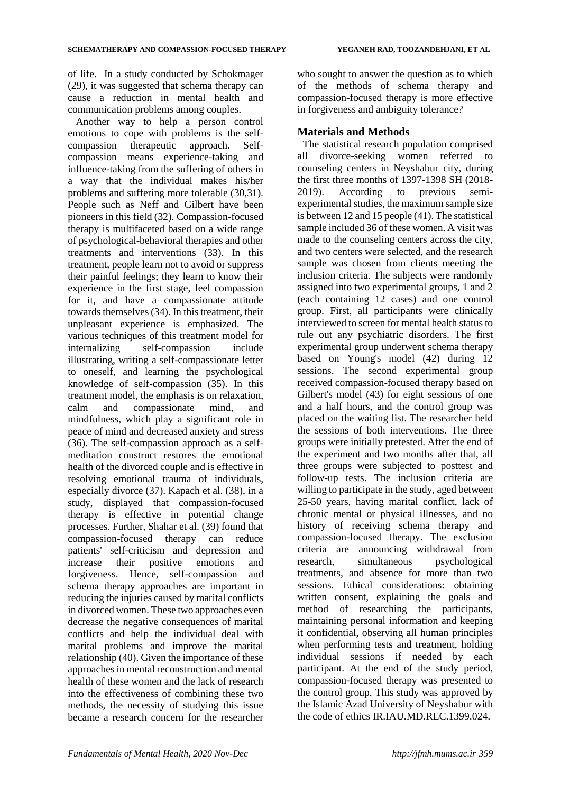of life. In a study conducted by Schokmager (29), it was suggested that schema therapy can cause a reduction in mental health and communication problems among couples.

Another way to help a person control emotions to cope with problems is the selfcompassion therapeutic approach. Selfcompassion means experience-taking and influence-taking from the suffering of others in a way that the individual makes his/her problems and suffering more tolerable (30,31). People such as Neff and Gilbert have been pioneers in this field (32). Compassion-focused therapy is multifaceted based on a wide range of psychological-behavioral therapies and other treatments and interventions (33). In this treatment, people learn not to avoid or suppress their painful feelings; they learn to know their experience in the first stage, feel compassion for it, and have a compassionate attitude towards themselves (34). In this treatment, their unpleasant experience is emphasized. The various techniques of this treatment model for internalizing self-compassion include illustrating, writing a self-compassionate letter to oneself, and learning the psychological knowledge of self-compassion (35). In this treatment model, the emphasis is on relaxation, calm and compassionate mind, and mindfulness, which play a significant role in peace of mind and decreased anxiety and stress (36). The self-compassion approach as a selfmeditation construct restores the emotional health of the divorced couple and is effective in resolving emotional trauma of individuals, especially divorce (37). Kapach et al. (38), in a study, displayed that compassion-focused therapy is effective in potential change processes. Further, Shahar et al. (39) found that compassion-focused therapy can reduce patients' self-criticism and depression and increase their positive emotions and forgiveness. Hence, self-compassion and schema therapy approaches are important in reducing the injuries caused by marital conflicts in divorced women. These two approaches even decrease the negative consequences of marital conflicts and help the individual deal with marital problems and improve the marital relationship (40). Given the importance of these approaches in mental reconstruction and mental health of these women and the lack of research into the effectiveness of combining these two methods, the necessity of studying this issue became a research concern for the researcher who sought to answer the question as to which of the methods of schema therapy and compassion-focused therapy is more effective in forgiveness and ambiguity tolerance?

## **Materials and Methods**

The statistical research population comprised all divorce-seeking women referred to counseling centers in Neyshabur city, during the first three months of 1397-1398 SH (2018- 2019). According to previous semiexperimental studies, the maximum sample size is between 12 and 15 people (41). The statistical sample included 36 of these women. A visit was made to the counseling centers across the city, and two centers were selected, and the research sample was chosen from clients meeting the inclusion criteria. The subjects were randomly assigned into two experimental groups, 1 and 2 (each containing 12 cases) and one control group. First, all participants were clinically interviewed to screen for mental health status to rule out any psychiatric disorders. The first experimental group underwent schema therapy based on Young's model (42) during 12 sessions. The second experimental group received compassion-focused therapy based on Gilbert's model (43) for eight sessions of one and a half hours, and the control group was placed on the waiting list. The researcher held the sessions of both interventions. The three groups were initially pretested. After the end of the experiment and two months after that, all three groups were subjected to posttest and follow-up tests. The inclusion criteria are willing to participate in the study, aged between 25-50 years, having marital conflict, lack of chronic mental or physical illnesses, and no history of receiving schema therapy and compassion-focused therapy. The exclusion criteria are announcing withdrawal from research, simultaneous psychological treatments, and absence for more than two sessions. Ethical considerations: obtaining written consent, explaining the goals and method of researching the participants, maintaining personal information and keeping it confidential, observing all human principles when performing tests and treatment, holding individual sessions if needed by each participant. At the end of the study period, compassion-focused therapy was presented to the control group. This study was approved by the Islamic Azad University of Neyshabur with the code of ethics IR.IAU.MD.REC.1399.024.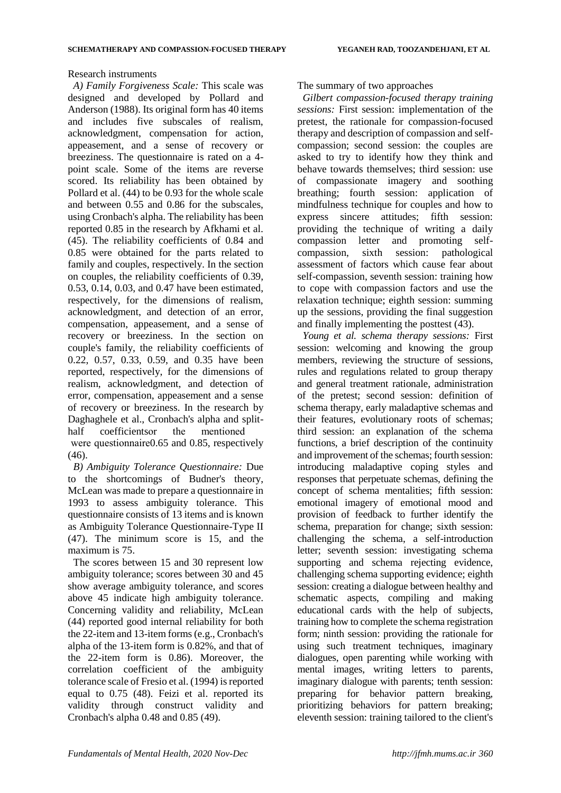#### Research instruments

*A) Family Forgiveness Scale:* This scale was designed and developed by Pollard and Anderson (1988). Its original form has 40 items and includes five subscales of realism, acknowledgment, compensation for action, appeasement, and a sense of recovery or breeziness. The questionnaire is rated on a 4 point scale. Some of the items are reverse scored. Its reliability has been obtained by Pollard et al. (44) to be 0.93 for the whole scale and between 0.55 and 0.86 for the subscales, using Cronbach's alpha. The reliability has been reported 0.85 in the research by Afkhami et al. (45). The reliability coefficients of 0.84 and 0.85 were obtained for the parts related to family and couples, respectively. In the section on couples, the reliability coefficients of 0.39, 0.53, 0.14, 0.03, and 0.47 have been estimated, respectively, for the dimensions of realism, acknowledgment, and detection of an error, compensation, appeasement, and a sense of recovery or breeziness. In the section on couple's family, the reliability coefficients of 0.22, 0.57, 0.33, 0.59, and 0.35 have been reported, respectively, for the dimensions of realism, acknowledgment, and detection of error, compensation, appeasement and a sense of recovery or breeziness. In the research by Daghaghele et al., Cronbach's alpha and splithalf coefficientsor the mentioned were questionnaire0.65 and 0.85, respectively (46).

*B) Ambiguity Tolerance Questionnaire:* Due to the shortcomings of Budner's theory, McLean was made to prepare a questionnaire in 1993 to assess ambiguity tolerance. This questionnaire consists of 13 items and is known as Ambiguity Tolerance Questionnaire-Type II (47). The minimum score is 15, and the maximum is 75.

The scores between 15 and 30 represent low ambiguity tolerance; scores between 30 and 45 show average ambiguity tolerance, and scores above 45 indicate high ambiguity tolerance. Concerning validity and reliability, McLean (44) reported good internal reliability for both the 22-item and 13-item forms (e.g., Cronbach's alpha of the 13-item form is 0.82%, and that of the 22-item form is 0.86). Moreover, the correlation coefficient of the ambiguity tolerance scale of Fresio et al. (1994) is reported equal to 0.75 (48). Feizi et al. reported its validity through construct validity and Cronbach's alpha 0.48 and 0.85 (49).

### The summary of two approaches

*Gilbert compassion-focused therapy training sessions:* First session: implementation of the pretest, the rationale for compassion-focused therapy and description of compassion and selfcompassion; second session: the couples are asked to try to identify how they think and behave towards themselves; third session: use of compassionate imagery and soothing breathing; fourth session: application of mindfulness technique for couples and how to express sincere attitudes; fifth session: providing the technique of writing a daily compassion letter and promoting selfcompassion, sixth session: pathological assessment of factors which cause fear about self-compassion, seventh session: training how to cope with compassion factors and use the relaxation technique; eighth session: summing up the sessions, providing the final suggestion and finally implementing the posttest (43).

*Young et al. schema therapy sessions:* First session: welcoming and knowing the group members, reviewing the structure of sessions, rules and regulations related to group therapy and general treatment rationale, administration of the pretest; second session: definition of schema therapy, early maladaptive schemas and their features, evolutionary roots of schemas; third session: an explanation of the schema functions, a brief description of the continuity and improvement of the schemas; fourth session: introducing maladaptive coping styles and responses that perpetuate schemas, defining the concept of schema mentalities; fifth session: emotional imagery of emotional mood and provision of feedback to further identify the schema, preparation for change; sixth session: challenging the schema, a self-introduction letter; seventh session: investigating schema supporting and schema rejecting evidence, challenging schema supporting evidence; eighth session: creating a dialogue between healthy and schematic aspects, compiling and making educational cards with the help of subjects, training how to complete the schema registration form; ninth session: providing the rationale for using such treatment techniques, imaginary dialogues, open parenting while working with mental images, writing letters to parents, imaginary dialogue with parents; tenth session: preparing for behavior pattern breaking, prioritizing behaviors for pattern breaking; eleventh session: training tailored to the client's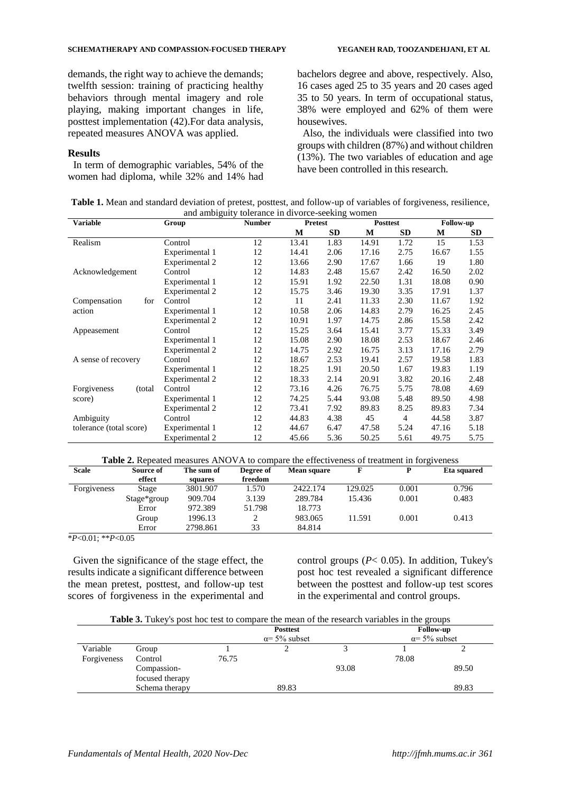demands, the right way to achieve the demands; twelfth session: training of practicing healthy behaviors through mental imagery and role playing, making important changes in life, posttest implementation (42).For data analysis, repeated measures ANOVA was applied.

#### **Results**

In term of demographic variables, 54% of the women had diploma, while 32% and 14% had

bachelors degree and above, respectively. Also, 16 cases aged 25 to 35 years and 20 cases aged 35 to 50 years. In term of occupational status, 38% were employed and 62% of them were housewives.

Also, the individuals were classified into two groups with children (87%) and without children (13%). The two variables of education and age have been controlled in this research.

| Table 1. Mean and standard deviation of pretest, posttest, and follow-up of variables of forgiveness, resilience, |  |
|-------------------------------------------------------------------------------------------------------------------|--|
| and ambiguity tolerance in divorce-seeking women                                                                  |  |

| <b>Variable</b>         | Group          | <b>Number</b> |       | <b>Pretest</b> |       | <b>Posttest</b> | <b>Follow-up</b> |           |
|-------------------------|----------------|---------------|-------|----------------|-------|-----------------|------------------|-----------|
|                         |                |               | М     | <b>SD</b>      | М     | <b>SD</b>       | М                | <b>SD</b> |
| Realism                 | Control        | 12            | 13.41 | 1.83           | 14.91 | 1.72            | 15               | 1.53      |
|                         | Experimental 1 | 12            | 14.41 | 2.06           | 17.16 | 2.75            | 16.67            | 1.55      |
|                         | Experimental 2 | 12            | 13.66 | 2.90           | 17.67 | 1.66            | 19               | 1.80      |
| Acknowledgement         | Control        | 12            | 14.83 | 2.48           | 15.67 | 2.42            | 16.50            | 2.02      |
|                         | Experimental 1 | 12            | 15.91 | 1.92           | 22.50 | 1.31            | 18.08            | 0.90      |
|                         | Experimental 2 | 12            | 15.75 | 3.46           | 19.30 | 3.35            | 17.91            | 1.37      |
| Compensation<br>for     | Control        | 12            | 11    | 2.41           | 11.33 | 2.30            | 11.67            | 1.92      |
| action                  | Experimental 1 | 12            | 10.58 | 2.06           | 14.83 | 2.79            | 16.25            | 2.45      |
|                         | Experimental 2 | 12            | 10.91 | 1.97           | 14.75 | 2.86            | 15.58            | 2.42      |
| Appeasement             | Control        | 12            | 15.25 | 3.64           | 15.41 | 3.77            | 15.33            | 3.49      |
|                         | Experimental 1 | 12            | 15.08 | 2.90           | 18.08 | 2.53            | 18.67            | 2.46      |
|                         | Experimental 2 | 12            | 14.75 | 2.92           | 16.75 | 3.13            | 17.16            | 2.79      |
| A sense of recovery     | Control        | 12            | 18.67 | 2.53           | 19.41 | 2.57            | 19.58            | 1.83      |
|                         | Experimental 1 | 12            | 18.25 | 1.91           | 20.50 | 1.67            | 19.83            | 1.19      |
|                         | Experimental 2 | 12            | 18.33 | 2.14           | 20.91 | 3.82            | 20.16            | 2.48      |
| Forgiveness<br>(total)  | Control        | 12            | 73.16 | 4.26           | 76.75 | 5.75            | 78.08            | 4.69      |
| score)                  | Experimental 1 | 12            | 74.25 | 5.44           | 93.08 | 5.48            | 89.50            | 4.98      |
|                         | Experimental 2 | 12            | 73.41 | 7.92           | 89.83 | 8.25            | 89.83            | 7.34      |
| Ambiguity               | Control        | 12            | 44.83 | 4.38           | 45    | 4               | 44.58            | 3.87      |
| tolerance (total score) | Experimental 1 | 12            | 44.67 | 6.47           | 47.58 | 5.24            | 47.16            | 5.18      |
|                         | Experimental 2 | 12            | 45.66 | 5.36           | 50.25 | 5.61            | 49.75            | 5.75      |

**Table 2.** Repeated measures ANOVA to compare the effectiveness of treatment in forgiveness

| <b>Scale</b>                                      | Source of   | The sum of | Degree of | Mean square |         | ັ<br>D | Eta squared |
|---------------------------------------------------|-------------|------------|-----------|-------------|---------|--------|-------------|
|                                                   | effect      | squares    | freedom   |             |         |        |             |
| Forgiveness                                       | Stage       | 3801.907   | 1.570     | 2422.174    | 129.025 | 0.001  | 0.796       |
|                                                   | Stage*group | 909.704    | 3.139     | 289.784     | 15.436  | 0.001  | 0.483       |
|                                                   | Error       | 972.389    | 51.798    | 18.773      |         |        |             |
|                                                   | Group       | 1996.13    |           | 983.065     | 11.591  | 0.001  | 0.413       |
|                                                   | Error       | 2798.861   | 33        | 84.814      |         |        |             |
| $*D \triangleleft 0.1$ . $**D \triangleleft 0.05$ |             |            |           |             |         |        |             |

\**P*<0.01; \*\**P*<0.05

Given the significance of the stage effect, the results indicate a significant difference between the mean pretest, posttest, and follow-up test scores of forgiveness in the experimental and control groups (*P*< 0.05). In addition, Tukey's post hoc test revealed a significant difference between the posttest and follow-up test scores in the experimental and control groups.

| <b>Table 3.</b> Tukey's post hoc test to compare the mean of the research variables in the groups |
|---------------------------------------------------------------------------------------------------|
|---------------------------------------------------------------------------------------------------|

|                         |                                |       | <b>Posttest</b><br>$\alpha$ = 5% subset |       | <b>Follow-up</b> | $\alpha$ = 5% subset |
|-------------------------|--------------------------------|-------|-----------------------------------------|-------|------------------|----------------------|
| Variable<br>Forgiveness | Group<br>Control               | 76.75 |                                         |       | 78.08            |                      |
|                         | Compassion-<br>focused therapy |       |                                         | 93.08 |                  | 89.50                |
|                         | Schema therapy                 |       | 89.83                                   |       |                  | 89.83                |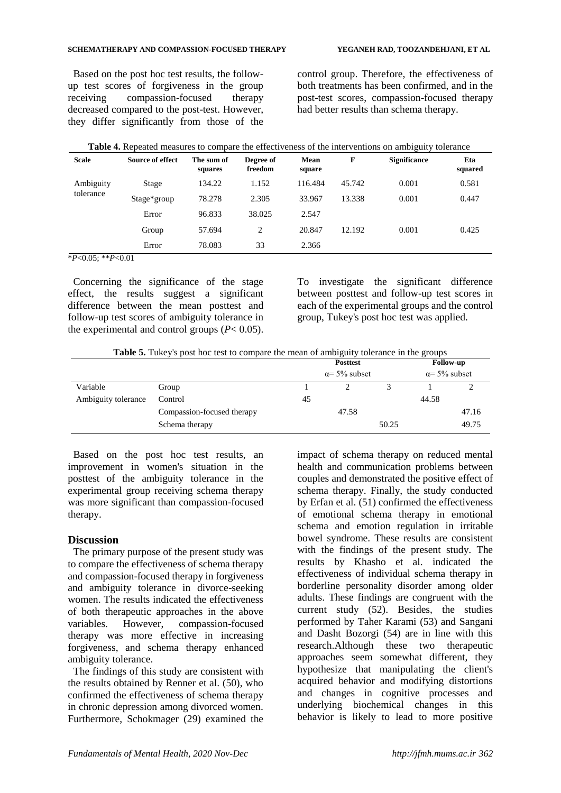Based on the post hoc test results, the followup test scores of forgiveness in the group receiving compassion-focused therapy decreased compared to the post-test. However, they differ significantly from those of the

control group. Therefore, the effectiveness of both treatments has been confirmed, and in the post-test scores, compassion-focused therapy had better results than schema therapy.

| <b>Scale</b> | Source of effect | The sum of<br>squares | Degree of<br>freedom | Mean<br>square | F      | <b>Significance</b> | Eta<br>squared |
|--------------|------------------|-----------------------|----------------------|----------------|--------|---------------------|----------------|
| Ambiguity    | Stage            | 134.22                | 1.152                | 116.484        | 45.742 | 0.001               | 0.581          |
| tolerance    | Stage*group      | 78.278                | 2.305                | 33.967         | 13.338 | 0.001               | 0.447          |
|              | Error            | 96.833                | 38.025               | 2.547          |        |                     |                |
|              | Group            | 57.694                | $\overline{c}$       | 20.847         | 12.192 | 0.001               | 0.425          |
|              | Error            | 78.083                | 33                   | 2.366          |        |                     |                |

\**P*<0.05; \*\**P*<0.01

Concerning the significance of the stage effect, the results suggest a significant difference between the mean posttest and follow-up test scores of ambiguity tolerance in the experimental and control groups  $(P< 0.05)$ . To investigate the significant difference between posttest and follow-up test scores in each of the experimental groups and the control group, Tukey's post hoc test was applied.

|  | Table 5. Tukey's post hoc test to compare the mean of ambiguity tolerance in the groups |
|--|-----------------------------------------------------------------------------------------|

|                     |                            |    | <b>Posttest</b><br>$\alpha$ = 5% subset |       |       | <b>Follow-up</b>     |
|---------------------|----------------------------|----|-----------------------------------------|-------|-------|----------------------|
|                     |                            |    |                                         |       |       | $\alpha$ = 5% subset |
| Variable            | Group                      |    |                                         |       |       |                      |
| Ambiguity tolerance | Control                    | 45 |                                         |       | 44.58 |                      |
|                     | Compassion-focused therapy |    | 47.58                                   |       |       | 47.16                |
|                     | Schema therapy             |    |                                         | 50.25 |       | 49.75                |

Based on the post hoc test results, an improvement in women's situation in the posttest of the ambiguity tolerance in the experimental group receiving schema therapy was more significant than compassion-focused therapy.

## **Discussion**

The primary purpose of the present study was to compare the effectiveness of schema therapy and compassion-focused therapy in forgiveness and ambiguity tolerance in divorce-seeking women. The results indicated the effectiveness of both therapeutic approaches in the above variables. However, compassion-focused therapy was more effective in increasing forgiveness, and schema therapy enhanced ambiguity tolerance.

The findings of this study are consistent with the results obtained by Renner et al. (50), who confirmed the effectiveness of schema therapy in chronic depression among divorced women. Furthermore, Schokmager (29) examined the

impact of schema therapy on reduced mental health and communication problems between couples and demonstrated the positive effect of schema therapy. Finally, the study conducted by Erfan et al. (51) confirmed the effectiveness of emotional schema therapy in emotional schema and emotion regulation in irritable bowel syndrome. These results are consistent with the findings of the present study. The results by Khasho et al. indicated the effectiveness of individual schema therapy in borderline personality disorder among older adults. These findings are congruent with the current study (52). Besides, the studies performed by Taher Karami (53) and Sangani and Dasht Bozorgi (54) are in line with this research.Although these two therapeutic approaches seem somewhat different, they hypothesize that manipulating the client's acquired behavior and modifying distortions and changes in cognitive processes and underlying biochemical changes in this behavior is likely to lead to more positive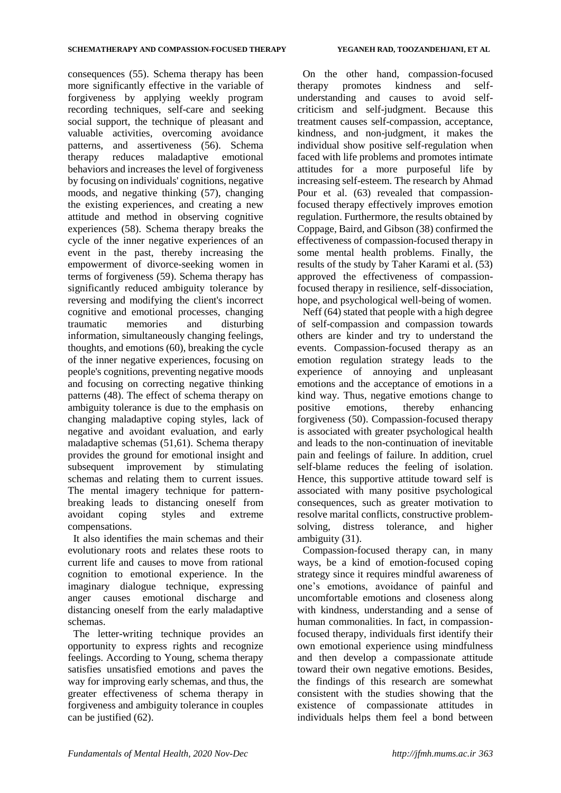consequences (55). Schema therapy has been more significantly effective in the variable of forgiveness by applying weekly program recording techniques, self-care and seeking social support, the technique of pleasant and valuable activities, overcoming avoidance patterns, and assertiveness (56). Schema therapy reduces maladaptive emotional behaviors and increases the level of forgiveness by focusing on individuals' cognitions, negative moods, and negative thinking (57), changing the existing experiences, and creating a new attitude and method in observing cognitive experiences (58). Schema therapy breaks the cycle of the inner negative experiences of an event in the past, thereby increasing the empowerment of divorce-seeking women in terms of forgiveness (59). Schema therapy has significantly reduced ambiguity tolerance by reversing and modifying the client's incorrect cognitive and emotional processes, changing traumatic memories and disturbing information, simultaneously changing feelings, thoughts, and emotions (60), breaking the cycle of the inner negative experiences, focusing on people's cognitions, preventing negative moods and focusing on correcting negative thinking patterns (48). The effect of schema therapy on ambiguity tolerance is due to the emphasis on changing maladaptive coping styles, lack of negative and avoidant evaluation, and early maladaptive schemas (51,61). Schema therapy provides the ground for emotional insight and subsequent improvement by stimulating schemas and relating them to current issues. The mental imagery technique for patternbreaking leads to distancing oneself from avoidant coping styles and extreme compensations.

It also identifies the main schemas and their evolutionary roots and relates these roots to current life and causes to move from rational cognition to emotional experience. In the imaginary dialogue technique, expressing anger causes emotional discharge and distancing oneself from the early maladaptive schemas.

The letter-writing technique provides an opportunity to express rights and recognize feelings. According to Young, schema therapy satisfies unsatisfied emotions and paves the way for improving early schemas, and thus, the greater effectiveness of schema therapy in forgiveness and ambiguity tolerance in couples can be justified (62).

On the other hand, compassion-focused therapy promotes kindness and selfunderstanding and causes to avoid selfcriticism and self-judgment. Because this treatment causes self-compassion, acceptance, kindness, and non-judgment, it makes the individual show positive self-regulation when faced with life problems and promotes intimate attitudes for a more purposeful life by increasing self-esteem. The research by Ahmad Pour et al. (63) revealed that compassionfocused therapy effectively improves emotion regulation. Furthermore, the results obtained by Coppage, Baird, and Gibson (38) confirmed the effectiveness of compassion-focused therapy in some mental health problems. Finally, the results of the study by Taher Karami et al. (53) approved the effectiveness of compassionfocused therapy in resilience, self-dissociation, hope, and psychological well-being of women.

Neff (64) stated that people with a high degree of self-compassion and compassion towards others are kinder and try to understand the events. Compassion-focused therapy as an emotion regulation strategy leads to the experience of annoying and unpleasant emotions and the acceptance of emotions in a kind way. Thus, negative emotions change to positive emotions, thereby enhancing forgiveness (50). Compassion-focused therapy is associated with greater psychological health and leads to the non-continuation of inevitable pain and feelings of failure. In addition, cruel self-blame reduces the feeling of isolation. Hence, this supportive attitude toward self is associated with many positive psychological consequences, such as greater motivation to resolve marital conflicts, constructive problemsolving, distress tolerance, and higher ambiguity (31).

Compassion-focused therapy can, in many ways, be a kind of emotion-focused coping strategy since it requires mindful awareness of one's emotions, avoidance of painful and uncomfortable emotions and closeness along with kindness, understanding and a sense of human commonalities. In fact, in compassionfocused therapy, individuals first identify their own emotional experience using mindfulness and then develop a compassionate attitude toward their own negative emotions. Besides, the findings of this research are somewhat consistent with the studies showing that the existence of compassionate attitudes in individuals helps them feel a bond between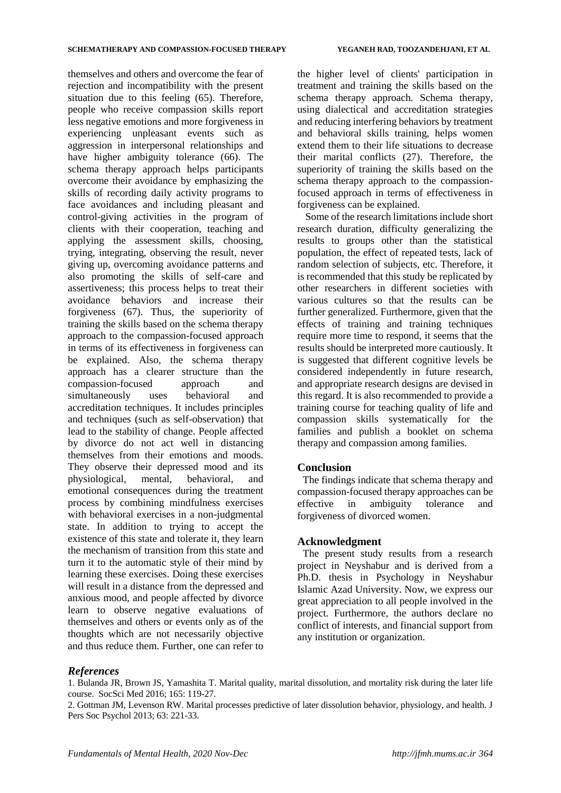themselves and others and overcome the fear of rejection and incompatibility with the present situation due to this feeling (65). Therefore, people who receive compassion skills report less negative emotions and more forgiveness in experiencing unpleasant events such as aggression in interpersonal relationships and have higher ambiguity tolerance (66). The schema therapy approach helps participants overcome their avoidance by emphasizing the skills of recording daily activity programs to face avoidances and including pleasant and control-giving activities in the program of clients with their cooperation, teaching and applying the assessment skills, choosing, trying, integrating, observing the result, never giving up, overcoming avoidance patterns and also promoting the skills of self-care and assertiveness; this process helps to treat their avoidance behaviors and increase their forgiveness (67). Thus, the superiority of training the skills based on the schema therapy approach to the compassion-focused approach in terms of its effectiveness in forgiveness can be explained. Also, the schema therapy approach has a clearer structure than the compassion-focused approach and simultaneously uses behavioral and accreditation techniques. It includes principles and techniques (such as self-observation) that lead to the stability of change. People affected by divorce do not act well in distancing themselves from their emotions and moods. They observe their depressed mood and its physiological, mental, behavioral, and emotional consequences during the treatment process by combining mindfulness exercises with behavioral exercises in a non-judgmental state. In addition to trying to accept the existence of this state and tolerate it, they learn the mechanism of transition from this state and turn it to the automatic style of their mind by learning these exercises. Doing these exercises will result in a distance from the depressed and anxious mood, and people affected by divorce learn to observe negative evaluations of themselves and others or events only as of the thoughts which are not necessarily objective and thus reduce them. Further, one can refer to

the higher level of clients' participation in treatment and training the skills based on the schema therapy approach. Schema therapy, using dialectical and accreditation strategies and reducing interfering behaviors by treatment and behavioral skills training, helps women extend them to their life situations to decrease their marital conflicts (27). Therefore, the superiority of training the skills based on the schema therapy approach to the compassionfocused approach in terms of effectiveness in forgiveness can be explained.

Some of the research limitations include short research duration, difficulty generalizing the results to groups other than the statistical population, the effect of repeated tests, lack of random selection of subjects, etc. Therefore, it is recommended that this study be replicated by other researchers in different societies with various cultures so that the results can be further generalized. Furthermore, given that the effects of training and training techniques require more time to respond, it seems that the results should be interpreted more cautiously. It is suggested that different cognitive levels be considered independently in future research, and appropriate research designs are devised in this regard. It is also recommended to provide a training course for teaching quality of life and compassion skills systematically for the families and publish a booklet on schema therapy and compassion among families.

## **Conclusion**

The findings indicate that schema therapy and compassion-focused therapy approaches can be effective in ambiguity tolerance and forgiveness of divorced women.

## **Acknowledgment**

The present study results from a research project in Neyshabur and is derived from a Ph.D. thesis in Psychology in Neyshabur Islamic Azad University. Now, we express our great appreciation to all people involved in the project. Furthermore, the authors declare no conflict of interests, and financial support from any institution or organization.

## *References*

1. Bulanda JR, Brown JS, Yamashita T. Marital quality, marital dissolution, and mortality risk during the later life course. SocSci Med 2016; 165: 119-27.

2. Gottman JM, Levenson RW. Marital processes predictive of later dissolution behavior, physiology, and health. J Pers Soc Psychol 2013; 63: 221-33.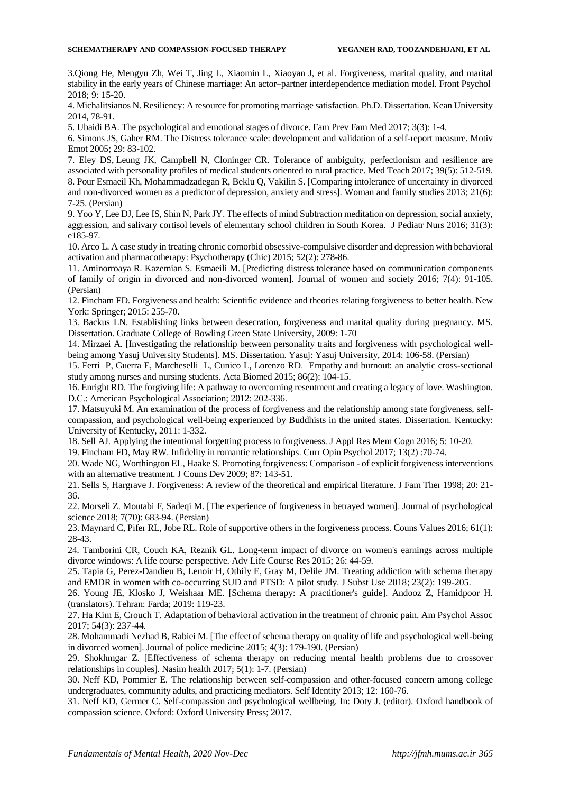3.Qiong He, Mengyu Zh, Wei T, Jing L, Xiaomin L, Xiaoyan J, et al. [Forgiveness,](https://www.researchgate.net/publication/327425760_Forgiveness_Marital_Quality_and_Marital_Stability_in_the_Early_Years_of_Chinese_Marriage_An_Actor-Partner_Interdependence_Mediation_Model) marital quality, and marital stability in the early years of Chinese marriage: An actor–partner [interdependence](https://www.researchgate.net/publication/327425760_Forgiveness_Marital_Quality_and_Marital_Stability_in_the_Early_Years_of_Chinese_Marriage_An_Actor-Partner_Interdependence_Mediation_Model) mediation model. Front Psychol 2018; 9: 15-20.

4. Michalitsianos N. Resiliency: A resource for promoting marriage satisfaction. Ph.D. Dissertation. Kean University 2014, 78-91.

5. Ubaidi BA. The psychological and emotional stages of divorce. Fam Prev Fam Med 2017; 3(3): 1-4.

6. Simons JS, Gaher RM. The Distress tolerance scale: development and validation of a self-report measure. Motiv Emot 2005; 29: 83-102.

7. [Eley](https://www.ncbi.nlm.nih.gov/pubmed/?term=Eley%20DS%5BAuthor%5D&cauthor=true&cauthor_uid=28281843) DS, [Leung](https://www.ncbi.nlm.nih.gov/pubmed/?term=Leung%20JK%5BAuthor%5D&cauthor=true&cauthor_uid=28281843) JK, [Campbell](https://www.ncbi.nlm.nih.gov/pubmed/?term=Campbell%20N%5BAuthor%5D&cauthor=true&cauthor_uid=28281843) N, [Cloninger CR.](https://www.ncbi.nlm.nih.gov/pubmed/?term=Cloninger%20CR%5BAuthor%5D&cauthor=true&cauthor_uid=28281843) Tolerance of ambiguity, perfectionism and resilience are associated with personality profiles of medical students oriented to rural practice[. Med Teach](https://www.ncbi.nlm.nih.gov/pubmed/28281843) 2017; 39(5): 512-519. 8. Pour Esmaeil Kh, Mohammadzadegan R, Beklu Q, Vakilin S. [Comparing intolerance of uncertainty in divorced and non-divorced women as a predictor of depression, anxiety and stress]. Woman and family studies 2013; 21(6): 7-25. (Persian)

9. Yoo Y, Lee DJ, Lee IS, Shin N, Park JY. The effects of mind Subtraction meditation on depression, social anxiety, aggression, and salivary cortisol levels of elementary school children in South Korea. J Pediatr Nurs 2016; 31(3): e185-97.

10. Arco L. A case study in treating chronic comorbid obsessive-compulsive disorder and depression with behavioral activation and pharmacotherapy: Psychotherapy (Chic) 2015; 52(2): 278-86.

11. Aminorroaya R. Kazemian S. Esmaeili M. [Predicting distress tolerance based on communication components of family of origin in divorced and non-divorced women]. Journal of women and society 2016; 7(4): 91-105. (Persian)

12. Fincham FD[. Forgiveness](https://www.researchgate.net/publication/296939238_Forgiveness_and_health_Scientific_evidence_and_theories_relating_forgiveness_to_better_health) and health: Scientific evidence and theories relating forgiveness to better health. New York: Springer; 2015: 255-70.

13. Backus LN. Establishing links between desecration, forgiveness and marital quality during pregnancy. MS. Dissertation. Graduate College of Bowling Green State University, 2009: 1-70

14. Mirzaei A. [Investigating the relationship between personality traits and forgiveness with psychological wellbeing among Yasuj University Students]. MS. Dissertation. Yasuj: Yasuj University, 2014: 106-58. (Persian)

15. Ferri P, Guerra E, Marcheselli L, Cunico L, Lorenzo RD. Empathy and burnout: an analytic cross-sectional study among nurses and nursing students. Acta Biomed 2015; 86(2): 104-15.

16. Enright RD. The forgiving life: A pathway to overcoming resentment and creating a legacy of love. Washington. D.C.: American Psychological Association; 2012: 202-336.

17. Matsuyuki M. An examination of the process of forgiveness and the relationship among state forgiveness, selfcompassion, and psychological well-being experienced by Buddhists in the united states. Dissertation. Kentucky: University of Kentucky, 2011: 1-332.

18. Sell AJ. Applying the intentional forgetting process to forgiveness. J Appl Res Mem Cogn 2016; 5: 10-20.

19. Fincham FD, May RW. Infidelity in romantic relationships. Curr Opin Psychol 2017; 13(2): 70-74.

20. Wade NG, Worthington EL, Haake S. Promoting forgiveness: Comparison - of explicit forgiveness interventions with an alternative treatment. J Couns Dev 2009; 87: 143-51.

21. Sells S, Hargrave J. Forgiveness: A review of the theoretical and empirical literature. J Fam Ther 1998; 20: 21- 36.

22. Morseli Z. Moutabi F, Sadeqi M. [The experience of forgiveness in betrayed women]. Journal of psychological science 2018; 7(70): 683-94. (Persian)

23. Maynard C, Pifer RL, Jobe RL. Role of supportive others in the forgiveness process. Couns Values 2016; 61(1): 28-43.

24*.* Tamborini CR, Couch KA, Reznik GL. Long-term impact of divorce on women's earnings across multiple divorce windows: A life course perspective. Adv Life Course Res 2015; 26: 44-59.

25. Tapia G, Perez-Dandieu B, Lenoir H, Othily E, Gray M, Delile JM. Treating addiction with schema therapy and EMDR in women with co-occurring SUD and PTSD: A pilot study. J Subst Use 2018; 23(2): 199-205.

26. Young JE, Klosko J, Weishaar ME. [Schema therapy: A practitioner's guide]. Andooz Z, Hamidpoor H. (translators). Tehran: Farda; 2019: 119-23.

27. Ha Kim E, Crouch T. Adaptation of behavioral activation in the treatment of chronic pain. Am Psychol Assoc 2017; 54(3): 237-44.

28. Mohammadi Nezhad B, Rabiei M. [The effect of schema therapy on quality of life and psychological well-being in divorced women]. Journal of police medicine 2015; 4(3): 179-190. (Persian)

29. Shokhmgar Z. [Effectiveness of schema therapy on reducing mental health problems due to crossover relationships in couples]. Nasim health 2017; 5(1): 1-7. (Persian)

30. Neff KD, Pommier E. The relationship between self-compassion and other-focused concern among college undergraduates, community adults, and practicing mediators. Self Identity 2013; 12: 160-76.

31. Neff KD, Germer C. Self-compassion and psychological wellbeing. In: Doty J. (editor). Oxford handbook of compassion science. Oxford: Oxford University Press; 2017.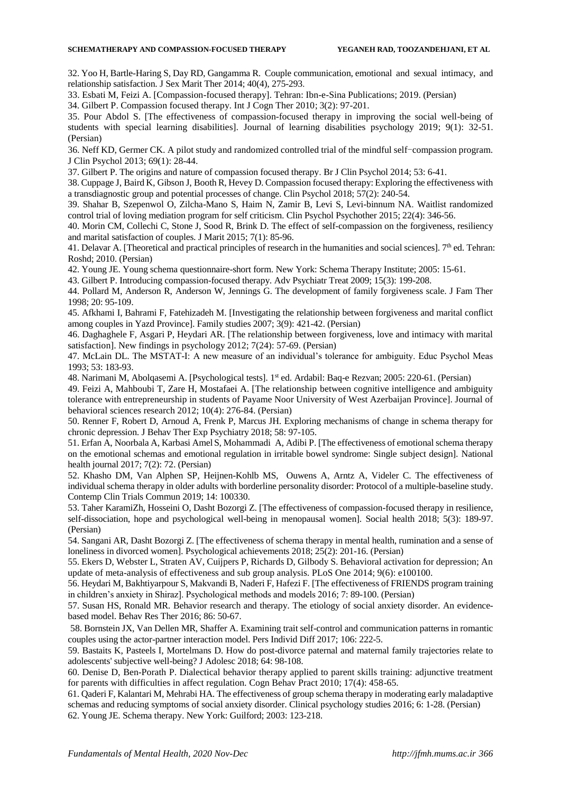32. Yoo H, Bartle-Haring S, Day RD, Gangamma R. Couple communication, emotional and sexual intimacy, and relationship satisfaction. J Sex Marit Ther 2014; 40(4), 275-293.

33. Esbati M, Feizi A. [Compassion-focused therapy]. Tehran: Ibn-e-Sina Publications; 2019. (Persian)

34. Gilbert P. Compassion focused therapy. Int J Cogn Ther 2010; 3(2): 97-201.

35. Pour Abdol S. [The effectiveness of compassion-focused therapy in improving the social well-being of students with special learning disabilities]. Journal of learning disabilities psychology 2019; 9(1): 32-51. (Persian)

36. Neff KD, Germer CK. A pilot study and randomized controlled trial of the mindful self-compassion program. J Clin Psychol 2013; 69(1): 28-44.

37. Gilbert P. The origins and nature of compassion focused therapy. Br J Clin Psychol 2014; 53: 6-41.

38. [Cuppage](https://www.ncbi.nlm.nih.gov/pubmed/?term=Cuppage%20J%5BAuthor%5D&cauthor=true&cauthor_uid=29044607) J, [Baird](https://www.ncbi.nlm.nih.gov/pubmed/?term=Baird%20K%5BAuthor%5D&cauthor=true&cauthor_uid=29044607) K, [Gibson](https://www.ncbi.nlm.nih.gov/pubmed/?term=Gibson%20J%5BAuthor%5D&cauthor=true&cauthor_uid=29044607) J, [Booth](https://www.ncbi.nlm.nih.gov/pubmed/?term=Booth%20R%5BAuthor%5D&cauthor=true&cauthor_uid=29044607) R[, Hevey](https://www.ncbi.nlm.nih.gov/pubmed/?term=Hevey%20D%5BAuthor%5D&cauthor=true&cauthor_uid=29044607) D. Compassion focused therapy: Exploring the effectiveness with a transdiagnostic group and potential processes of change. [Clin Psychol](https://www.ncbi.nlm.nih.gov/pubmed/29044607) 2018; 57(2): 240-54.

39. Shahar B, Szepenwol O, Zilcha-Mano S, Haim N, Zamir B, Levi S, Levi-binnum NA. Waitlist randomized control trial of loving mediation program for self criticism. Clin Psychol Psychother 2015; 22(4): 346-56.

40. Morin CM, Collechi C, Stone J, Sood R, Brink D. The effect of self-compassion on the forgiveness, resiliency and marital satisfaction of couples. J Marit 2015; 7(1): 85-96.

41. Delavar A. [Theoretical and practical principles of research in the humanities and social sciences].  $7<sup>th</sup>$  ed. Tehran: Roshd; 2010. (Persian)

42. Young JE. Young schema questionnaire-short form. New York: Schema Therapy Institute; 2005: 15-61.

43. Gilbert P. Introducing compassion-focused therapy. Adv Psychiatr Treat 2009; 15(3): 199-208.

44. Pollard M, Anderson R, Anderson W, Jennings G. The development of family forgiveness scale. J Fam Ther 1998; 20: 95-109.

45. Afkhami I, Bahrami F, Fatehizadeh M. [Investigating the relationship between forgiveness and marital conflict among couples in Yazd Province]. Family studies 2007; 3(9): 421-42. (Persian)

46. Daghaghele F, Asgari P, Heydari AR. [The relationship between forgiveness, love and intimacy with marital satisfaction]. New findings in psychology 2012; 7(24): 57-69. (Persian)

47. McLain DL. The MSTAT-I: A new measure of an individual's tolerance for ambiguity. Educ Psychol Meas 1993; 53: 183-93.

48. Narimani M, Abolqasemi A. [Psychological tests]. 1st ed. Ardabil: Baq-e Rezvan; 2005: 220-61. (Persian)

49. Feizi A, Mahboubi T, Zare H, Mostafaei A. [The relationship between cognitive intelligence and ambiguity tolerance with entrepreneurship in students of Payame Noor University of West Azerbaijan Province]. Journal of behavioral sciences research 2012; 10(4): 276-84. (Persian)

50. Renner F, Robert D, Arnoud A, Frenk P, Marcus JH. Exploring mechanisms of change in schema therapy for chronic depression. J Behav Ther Exp Psychiatry 2018; 58: 97-105.

[51. Erfan](https://www.ncbi.nlm.nih.gov/pubmed/?term=Erfan%20A%5BAuthor%5D&cauthor=true&cauthor_uid=29862221) A, [Noorbala](https://www.ncbi.nlm.nih.gov/pubmed/?term=Noorbala%20AA%5BAuthor%5D&cauthor=true&cauthor_uid=29862221) A, [Karbasi AmelS](https://www.ncbi.nlm.nih.gov/pubmed/?term=Karbasi%20Amel%20S%5BAuthor%5D&cauthor=true&cauthor_uid=29862221)[, Mohammadi](https://www.ncbi.nlm.nih.gov/pubmed/?term=Mohammadi%20A%5BAuthor%5D&cauthor=true&cauthor_uid=29862221) A, Adibi P. [The effectiveness of emotional schema therapy on the emotional schemas and emotional regulation in irritable bowel syndrome: Single subject design]. National health journal 2017; 7(2): 72. (Persian)

52. [Khasho](https://www.sciencedirect.com/science/article/pii/S2451865418300929#!) DM, [Van Alphen](https://www.sciencedirect.com/science/article/pii/S2451865418300929#!) SP, [Heijnen-Kohlb](https://www.sciencedirect.com/science/article/pii/S2451865418300929#!) MS, [Ouwens](https://www.sciencedirect.com/science/article/pii/S2451865418300929#!) A, [Arntz](https://www.sciencedirect.com/science/article/pii/S2451865418300929#!) A, [Videler](https://www.sciencedirect.com/science/article/pii/S2451865418300929#!) C. The effectiveness of individual schema therapy in older adults with borderline personality disorder: Protocol of a multiple-baseline study. [Contemp Clin Trials Commun](https://www.ncbi.nlm.nih.gov/pmc/articles/PMC6365387/) 2019; [14:](https://www.sciencedirect.com/science/journal/24518654/14/supp/C) 100330.

53. Taher KaramiZh, Hosseini O, Dasht Bozorgi Z. [The effectiveness of compassion-focused therapy in resilience, self-dissociation, hope and psychological well-being in menopausal women]. Social health 2018; 5(3): 189-97. (Persian)

54. Sangani AR, Dasht Bozorgi Z. [The effectiveness of schema therapy in mental health, rumination and a sense of loneliness in divorced women]. Psychological achievements 2018; 25(2): 201-16. (Persian)

55. Ekers D, Webster L, Straten AV, Cuijpers P, Richards D, Gilbody S. Behavioral activation for depression; An update of meta-analysis of effectiveness and sub group analysis. PLoS One 2014; 9(6): e100100.

56. Heydari M, Bakhtiyarpour S, Makvandi B, Naderi F, Hafezi F. [The effectiveness of FRIENDS program training in children's anxiety in Shiraz]. Psychological methods and models 2016; 7: 89-100. (Persian)

57. Susan HS, Ronald MR. Behavior research and therapy. The etiology of social anxiety disorder. An evidencebased model. Behav Res Ther 2016; 86: 50-67.

58. Bornstein JX, Van Dellen MR, Shaffer A. Examining trait self-control and communication patterns in romantic couples using the actor-partner interaction model. Pers Individ Diff 2017; 106: 222-5.

59. Bastaits K, Pasteels I, Mortelmans D. How do post-divorce paternal and maternal family trajectories relate to adolescents' subjective well-being? J Adolesc 2018; 64: 98-108.

60. Denise D, Ben-Porath P. Dialectical behavior therapy applied to parent skills training: adjunctive treatment for parents with difficulties in affect regulation. Cogn Behav Pract 2010; 17(4): 458-65.

61. Qaderi F, Kalantari M, Mehrabi HA. The effectiveness of group schema therapy in moderating early maladaptive schemas and reducing symptoms of social anxiety disorder. Clinical psychology studies 2016; 6: 1-28. (Persian) 62. Young JE. Schema therapy. New York: Guilford; 2003: 123-218.